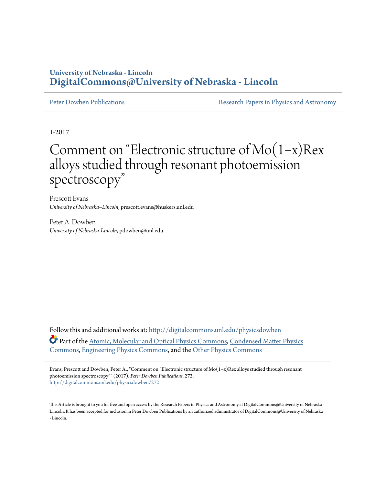### **University of Nebraska - Lincoln [DigitalCommons@University of Nebraska - Lincoln](http://digitalcommons.unl.edu?utm_source=digitalcommons.unl.edu%2Fphysicsdowben%2F272&utm_medium=PDF&utm_campaign=PDFCoverPages)**

[Peter Dowben Publications](http://digitalcommons.unl.edu/physicsdowben?utm_source=digitalcommons.unl.edu%2Fphysicsdowben%2F272&utm_medium=PDF&utm_campaign=PDFCoverPages) **[Research Papers in Physics and Astronomy](http://digitalcommons.unl.edu/physicsresearch?utm_source=digitalcommons.unl.edu%2Fphysicsdowben%2F272&utm_medium=PDF&utm_campaign=PDFCoverPages)** 

1-2017

# Comment on "Electronic structure of Mo(1−x)Rex alloys studied through resonant photoemission spectroscopy "

Prescott Evans *University of Nebraska–Lincoln*, prescott.evans@huskers.unl.edu

Peter A. Dowben *University of Nebraska-Lincoln*, pdowben@unl.edu

Follow this and additional works at: [http://digitalcommons.unl.edu/physicsdowben](http://digitalcommons.unl.edu/physicsdowben?utm_source=digitalcommons.unl.edu%2Fphysicsdowben%2F272&utm_medium=PDF&utm_campaign=PDFCoverPages) Part of the [Atomic, Molecular and Optical Physics Commons,](http://network.bepress.com/hgg/discipline/195?utm_source=digitalcommons.unl.edu%2Fphysicsdowben%2F272&utm_medium=PDF&utm_campaign=PDFCoverPages) [Condensed Matter Physics](http://network.bepress.com/hgg/discipline/197?utm_source=digitalcommons.unl.edu%2Fphysicsdowben%2F272&utm_medium=PDF&utm_campaign=PDFCoverPages) [Commons,](http://network.bepress.com/hgg/discipline/197?utm_source=digitalcommons.unl.edu%2Fphysicsdowben%2F272&utm_medium=PDF&utm_campaign=PDFCoverPages) [Engineering Physics Commons](http://network.bepress.com/hgg/discipline/200?utm_source=digitalcommons.unl.edu%2Fphysicsdowben%2F272&utm_medium=PDF&utm_campaign=PDFCoverPages), and the [Other Physics Commons](http://network.bepress.com/hgg/discipline/207?utm_source=digitalcommons.unl.edu%2Fphysicsdowben%2F272&utm_medium=PDF&utm_campaign=PDFCoverPages)

Evans, Prescott and Dowben, Peter A., "Comment on "Electronic structure of Mo(1−x)Rex alloys studied through resonant photoemission spectroscopy"" (2017). *Peter Dowben Publications*. 272. [http://digitalcommons.unl.edu/physicsdowben/272](http://digitalcommons.unl.edu/physicsdowben/272?utm_source=digitalcommons.unl.edu%2Fphysicsdowben%2F272&utm_medium=PDF&utm_campaign=PDFCoverPages)

This Article is brought to you for free and open access by the Research Papers in Physics and Astronomy at DigitalCommons@University of Nebraska - Lincoln. It has been accepted for inclusion in Peter Dowben Publications by an authorized administrator of DigitalCommons@University of Nebraska - Lincoln.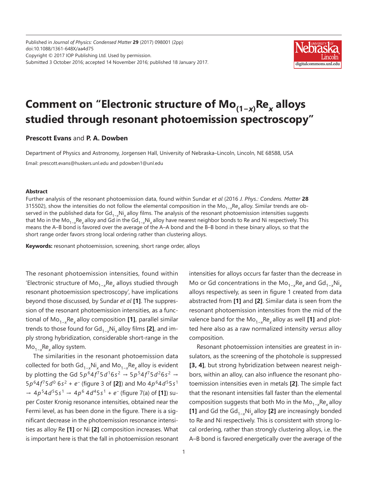Published in *Journal of Physics: Condensed Matter* **29** (2017) 098001 (2pp) doi:10.1088/1361-648X/aa4d75 Copyright © 2017 IOP Publishing Ltd. Used by permission. Submitted 3 October 2016; accepted 14 November 2016; published 18 January 2017.



## **Comment on "Electronic structure of Mo(1−***x***) Re***<sup>x</sup>* **alloys studied through resonant photoemission spectroscopy"**

### **Prescott Evans** and **P. A. Dowben**

Department of Physics and Astronomy, Jorgensen Hall, University of Nebraska–Lincoln, Lincoln, NE 68588, USA

Email: prescott.evans@huskers.unl.edu and pdowben1@unl.edu

#### **Abstract**

Further analysis of the resonant photoemission data, found within Sundar *et al* (2016 *J. Phys.: Condens. Matter* **28**  315502), show the intensities do not follow the elemental composition in the Mo<sub>1−x</sub>Re<sub>x</sub> alloy. Similar trends are observed in the published data for Gd<sub>1−x</sub>Ni<sub>x</sub> alloy films. The analysis of the resonant photoemission intensities suggests that Mo in the Mo<sub>1−x</sub>Re<sub>x</sub> alloy and Gd in the Gd<sub>1−x</sub>Ni<sub>x</sub> alloy have nearest neighbor bonds to Re and Ni respectively. This means the A–B bond is favored over the average of the A–A bond and the B–B bond in these binary alloys, so that the short range order favors strong local ordering rather than clustering alloys.

**Keywords:** resonant photoemission, screening, short range order, alloys

The resonant photoemission intensities, found within 'Electronic structure of Mo1−*<sup>x</sup>* Re*<sup>x</sup>* alloys studied through resonant photoemission spectroscopy', have implications beyond those discussed, by Sundar *et al* **[1]**. The suppression of the resonant photoemission intensities, as a functional of Mo1−*<sup>x</sup>* Re*x* alloy composition **[1]**, parallel similar trends to those found for Gd1−*<sup>x</sup>* Ni*x* alloy films **[2]**, and imply strong hybridization, considerable short-range in the Mo1−*<sup>x</sup>* Re*x* alloy system.

The similarities in the resonant photoemission data collected for both Gd1−*<sup>x</sup>* Ni*x* and Mo1−*<sup>x</sup>* Re*x* alloy is evident by plotting the Gd  $5p^{6}4f^{7}5d^{1}6s^{2}$  →  $5p^{5}4f^{7}5d^{2}6s^{2}$  → 5*p*64*f* 75*d*0 6*s* 2 + *e*− (figure 3 of **[2]**) and Mo 4*p*64*d*55*s* <sup>1</sup> → 4*p*54*d*55*s* <sup>1</sup>→ 4*p*6 4*d*45*s* <sup>1</sup> + *e*<sup>−</sup> (figure 7(a) of **[1]**) super Coster Kronig resonance intensities, obtained near the Fermi level, as has been done in the figure. There is a significant decrease in the photoemission resonance intensities as alloy Re **[1]** or Ni **[2]** composition increases. What is important here is that the fall in photoemission resonant

intensities for alloys occurs far faster than the decrease in Mo or Gd concentrations in the Mo<sub>1−x</sub>Re<sub>x</sub> and Gd<sub>1−x</sub>Ni<sub>x</sub> alloys respectively, as seen in figure 1 created from data abstracted from **[1]** and **[2]**. Similar data is seen from the resonant photoemission intensities from the mid of the valence band for the Mo1−*<sup>x</sup>* Re*x* alloy as well **[1]** and plotted here also as a raw normalized intensity *versus* alloy composition.

Resonant photoemission intensities are greatest in insulators, as the screening of the photohole is suppressed **[3, 4]**, but strong hybridization between nearest neighbors, within an alloy, can also influence the resonant photoemission intensities even in metals **[2]**. The simple fact that the resonant intensities fall faster than the elemental composition suggests that both Mo in the Mo1−*<sup>x</sup>* Re*x* alloy **[1]** and Gd the Gd1−*<sup>x</sup>* Ni*x* alloy **[2]** are increasingly bonded to Re and Ni respectively. This is consistent with strong local ordering, rather than strongly clustering alloys, i.e. the A–B bond is favored energetically over the average of the